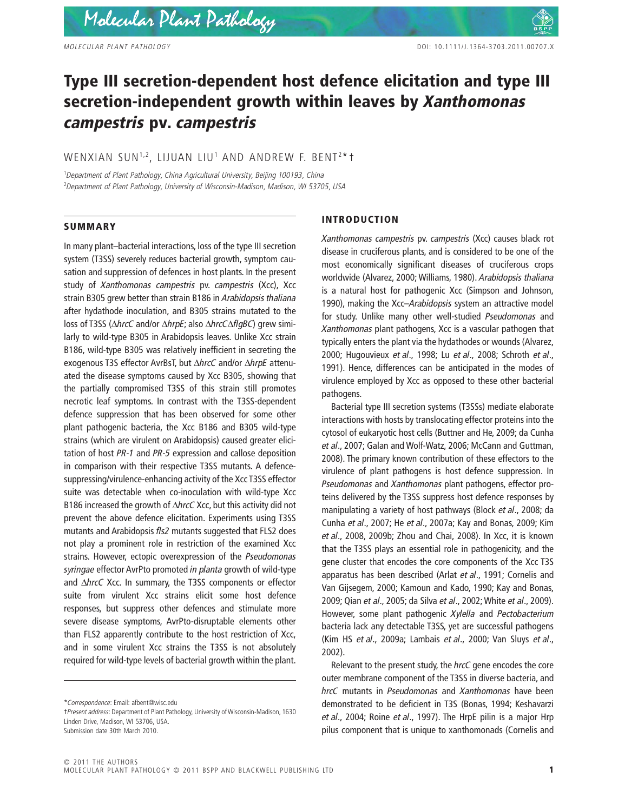# **Type III secretion-dependent host defence elicitation and type III secretion-independent growth within leaves by** *Xanthomonas campestris* **pv.** *campestris*

## WENXIAN SUN $^{1,2}$ , LIJUAN LIU $^1$  AND ANDREW F. BENT $^{2\,*}$ t

1 *Department of Plant Pathology, China Agricultural University, Beijing 100193, China* 2 *Department of Plant Pathology, University of Wisconsin-Madison, Madison, WI 53705, USA*

#### **SUMMARY**

In many plant–bacterial interactions, loss of the type III secretion system (T3SS) severely reduces bacterial growth, symptom causation and suppression of defences in host plants. In the present study of *Xanthomonas campestris* pv. *campestris* (Xcc), Xcc strain B305 grew better than strain B186 in *Arabidopsis thaliana* after hydathode inoculation, and B305 strains mutated to the loss of T3SS (Δ*hrcC* and/or Δ*hrpE*; also Δ*hrcC*Δ*flqBC*) grew similarly to wild-type B305 in Arabidopsis leaves. Unlike Xcc strain B186, wild-type B305 was relatively inefficient in secreting the exogenous T3S effector AvrBsT, but ΔhrcC and/or ΔhrpE attenuated the disease symptoms caused by Xcc B305, showing that the partially compromised T3SS of this strain still promotes necrotic leaf symptoms. In contrast with the T3SS-dependent defence suppression that has been observed for some other plant pathogenic bacteria, the Xcc B186 and B305 wild-type strains (which are virulent on Arabidopsis) caused greater elicitation of host *PR-1* and *PR-5* expression and callose deposition in comparison with their respective T3SS mutants. A defencesuppressing/virulence-enhancing activity of the Xcc T3SS effector suite was detectable when co-inoculation with wild-type Xcc B186 increased the growth of  $\Delta$ *hrcC* Xcc, but this activity did not prevent the above defence elicitation. Experiments using T3SS mutants and Arabidopsis *fls2* mutants suggested that FLS2 does not play a prominent role in restriction of the examined Xcc strains. However, ectopic overexpression of the *Pseudomonas syringae* effector AvrPto promoted *in planta* growth of wild-type and *AhrcC* Xcc. In summary, the T3SS components or effector suite from virulent Xcc strains elicit some host defence responses, but suppress other defences and stimulate more severe disease symptoms, AvrPto-disruptable elements other than FLS2 apparently contribute to the host restriction of Xcc, and in some virulent Xcc strains the T3SS is not absolutely required for wild-type levels of bacterial growth within the plant.

## **INTRODUCTION**

*Xanthomonas campestris* pv. *campestris* (Xcc) causes black rot disease in cruciferous plants, and is considered to be one of the most economically significant diseases of cruciferous crops worldwide (Alvarez, 2000; Williams, 1980). *Arabidopsis thaliana* is a natural host for pathogenic Xcc (Simpson and Johnson, 1990), making the Xcc–*Arabidopsis* system an attractive model for study. Unlike many other well-studied *Pseudomonas* and *Xanthomonas* plant pathogens, Xcc is a vascular pathogen that typically enters the plant via the hydathodes or wounds (Alvarez, 2000; Hugouvieux *et al*., 1998; Lu *et al*., 2008; Schroth *et al*., 1991). Hence, differences can be anticipated in the modes of virulence employed by Xcc as opposed to these other bacterial pathogens.

Bacterial type III secretion systems (T3SSs) mediate elaborate interactions with hosts by translocating effector proteins into the cytosol of eukaryotic host cells (Buttner and He, 2009; da Cunha *et al*., 2007; Galan and Wolf-Watz, 2006; McCann and Guttman, 2008). The primary known contribution of these effectors to the virulence of plant pathogens is host defence suppression. In *Pseudomonas* and *Xanthomonas* plant pathogens, effector proteins delivered by the T3SS suppress host defence responses by manipulating a variety of host pathways (Block *et al*., 2008; da Cunha *et al*., 2007; He *et al*., 2007a; Kay and Bonas, 2009; Kim *et al*., 2008, 2009b; Zhou and Chai, 2008). In Xcc, it is known that the T3SS plays an essential role in pathogenicity, and the gene cluster that encodes the core components of the Xcc T3S apparatus has been described (Arlat *et al*., 1991; Cornelis and Van Gijsegem, 2000; Kamoun and Kado, 1990; Kay and Bonas, 2009; Qian *et al*., 2005; da Silva *et al*., 2002; White *et al*., 2009). However, some plant pathogenic *Xylella* and *Pectobacterium* bacteria lack any detectable T3SS, yet are successful pathogens (Kim HS *et al*., 2009a; Lambais *et al*., 2000; Van Sluys *et al*., 2002).

Relevant to the present study, the *hrcC* gene encodes the core outer membrane component of the T3SS in diverse bacteria, and *hrcC* mutants in *Pseudomonas* and *Xanthomonas* have been demonstrated to be deficient in T3S (Bonas, 1994; Keshavarzi *et al*., 2004; Roine *et al*., 1997). The HrpE pilin is a major Hrp pilus component that is unique to xanthomonads (Cornelis and

<sup>\*</sup>*Correspondence*: Email: afbent@wisc.edu

<sup>†</sup>*Present address*: Department of Plant Pathology, University of Wisconsin-Madison, 1630 Linden Drive, Madison, WI 53706, USA. Submission date 30th March 2010.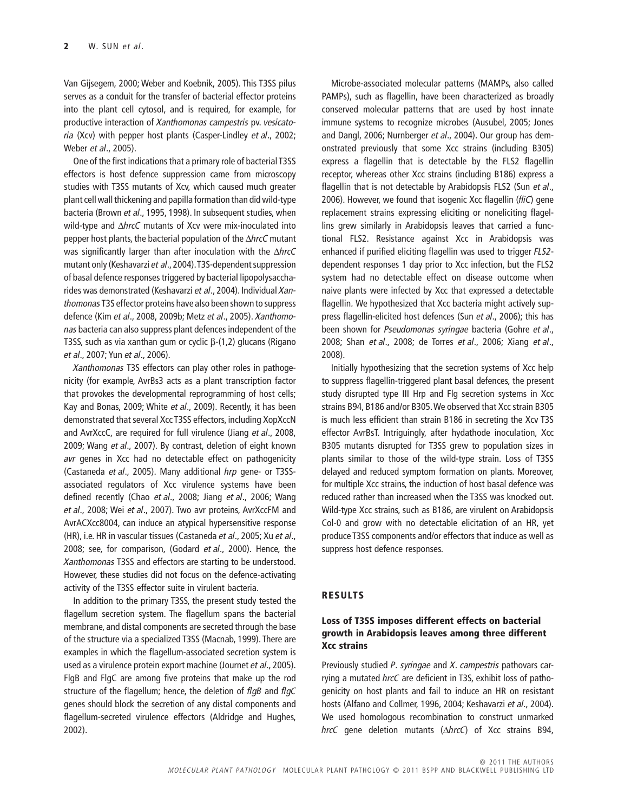Van Gijsegem, 2000; Weber and Koebnik, 2005). This T3SS pilus serves as a conduit for the transfer of bacterial effector proteins into the plant cell cytosol, and is required, for example, for productive interaction of *Xanthomonas campestris* pv. *vesicatoria* (Xcv) with pepper host plants (Casper-Lindley *et al*., 2002; Weber *et al*., 2005).

One of the first indications that a primary role of bacterial T3SS effectors is host defence suppression came from microscopy studies with T3SS mutants of Xcv, which caused much greater plant cell wall thickening and papilla formation than did wild-type bacteria (Brown *et al*., 1995, 1998). In subsequent studies, when wild-type and  $\Delta h$ rcC mutants of Xcv were mix-inoculated into pepper host plants, the bacterial population of the *AhrcC* mutant was significantly larger than after inoculation with the  $\triangle$ *hrcC* mutant only (Keshavarzi *et al*., 2004).T3S-dependent suppression of basal defence responses triggered by bacterial lipopolysaccharides was demonstrated (Keshavarzi *et al*., 2004). Individual *Xanthomonas* T3S effector proteins have also been shown to suppress defence (Kim *et al*., 2008, 2009b; Metz *et al*., 2005). *Xanthomonas* bacteria can also suppress plant defences independent of the T3SS, such as via xanthan gum or cyclic  $\beta$ -(1,2) glucans (Rigano *et al*., 2007; Yun *et al*., 2006).

*Xanthomonas* T3S effectors can play other roles in pathogenicity (for example, AvrBs3 acts as a plant transcription factor that provokes the developmental reprogramming of host cells; Kay and Bonas, 2009; White *et al*., 2009). Recently, it has been demonstrated that several Xcc T3SS effectors, including XopXccN and AvrXccC, are required for full virulence (Jiang *et al*., 2008, 2009; Wang *et al*., 2007). By contrast, deletion of eight known *avr* genes in Xcc had no detectable effect on pathogenicity (Castaneda *et al*., 2005). Many additional *hrp* gene- or T3SSassociated regulators of Xcc virulence systems have been defined recently (Chao *et al*., 2008; Jiang *et al*., 2006; Wang *et al*., 2008; Wei *et al*., 2007). Two avr proteins, AvrXccFM and AvrACXcc8004, can induce an atypical hypersensitive response (HR), i.e. HR in vascular tissues (Castaneda *et al*., 2005; Xu *et al*., 2008; see, for comparison, (Godard *et al*., 2000). Hence, the *Xanthomonas* T3SS and effectors are starting to be understood. However, these studies did not focus on the defence-activating activity of the T3SS effector suite in virulent bacteria.

In addition to the primary T3SS, the present study tested the flagellum secretion system. The flagellum spans the bacterial membrane, and distal components are secreted through the base of the structure via a specialized T3SS (Macnab, 1999). There are examples in which the flagellum-associated secretion system is used as a virulence protein export machine (Journet *et al*., 2005). FlgB and FlgC are among five proteins that make up the rod structure of the flagellum; hence, the deletion of *flgB* and *flgC* genes should block the secretion of any distal components and flagellum-secreted virulence effectors (Aldridge and Hughes, 2002).

Microbe-associated molecular patterns (MAMPs, also called PAMPs), such as flagellin, have been characterized as broadly conserved molecular patterns that are used by host innate immune systems to recognize microbes (Ausubel, 2005; Jones and Dangl, 2006; Nurnberger *et al*., 2004). Our group has demonstrated previously that some Xcc strains (including B305) express a flagellin that is detectable by the FLS2 flagellin receptor, whereas other Xcc strains (including B186) express a flagellin that is not detectable by Arabidopsis FLS2 (Sun *et al*., 2006). However, we found that isogenic Xcc flagellin (*fliC*) gene replacement strains expressing eliciting or noneliciting flagellins grew similarly in Arabidopsis leaves that carried a functional FLS2. Resistance against Xcc in Arabidopsis was enhanced if purified eliciting flagellin was used to trigger *FLS2* dependent responses 1 day prior to Xcc infection, but the FLS2 system had no detectable effect on disease outcome when naive plants were infected by Xcc that expressed a detectable flagellin*.* We hypothesized that Xcc bacteria might actively suppress flagellin-elicited host defences (Sun *et al*., 2006); this has been shown for *Pseudomonas syringae* bacteria (Gohre *et al*., 2008; Shan *et al*., 2008; de Torres *et al*., 2006; Xiang *et al*., 2008).

Initially hypothesizing that the secretion systems of Xcc help to suppress flagellin-triggered plant basal defences, the present study disrupted type III Hrp and Flg secretion systems in Xcc strains B94, B186 and/or B305.We observed that Xcc strain B305 is much less efficient than strain B186 in secreting the Xcv T3S effector AvrBsT. Intriguingly, after hydathode inoculation, Xcc B305 mutants disrupted for T3SS grew to population sizes in plants similar to those of the wild-type strain. Loss of T3SS delayed and reduced symptom formation on plants. Moreover, for multiple Xcc strains, the induction of host basal defence was reduced rather than increased when the T3SS was knocked out. Wild-type Xcc strains, such as B186, are virulent on Arabidopsis Col-0 and grow with no detectable elicitation of an HR, yet produce T3SS components and/or effectors that induce as well as suppress host defence responses.

#### **RESULTS**

## **Loss of T3SS imposes different effects on bacterial growth in Arabidopsis leaves among three different Xcc strains**

Previously studied *P. syringae* and *X. campestris* pathovars carrying a mutated *hrcC* are deficient in T3S, exhibit loss of pathogenicity on host plants and fail to induce an HR on resistant hosts (Alfano and Collmer, 1996, 2004; Keshavarzi *et al*., 2004). We used homologous recombination to construct unmarked *hrcC* gene deletion mutants ( $\triangle$ *hrcC*) of Xcc strains B94,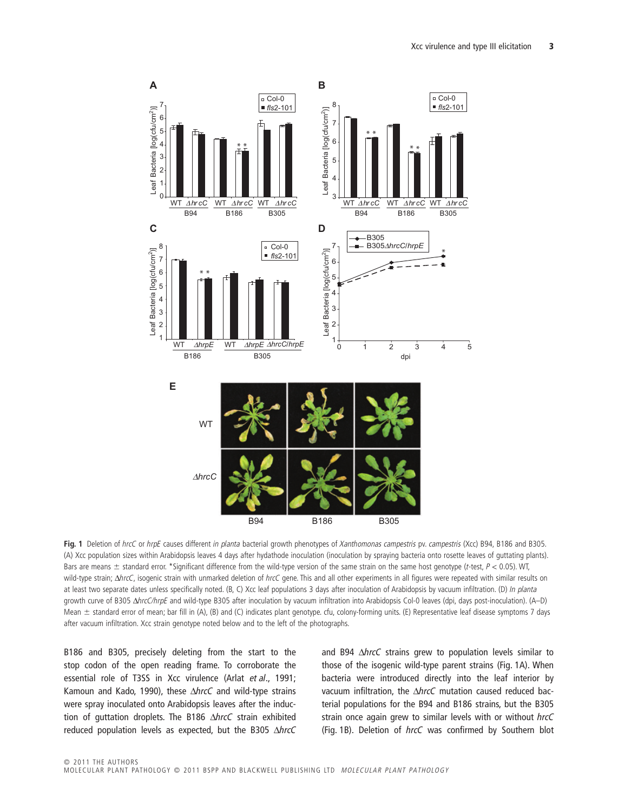

**Fig. 1** Deletion of *hrcC* or *hrpE* causes different *in planta* bacterial growth phenotypes of *Xanthomonas campestris* pv. *campestris* (Xcc) B94, B186 and B305. (A) Xcc population sizes within Arabidopsis leaves 4 days after hydathode inoculation (inoculation by spraying bacteria onto rosette leaves of guttating plants). Bars are means  $\pm$  standard error. \*Significant difference from the wild-type version of the same strain on the same host genotype (*t-*test, *P <* 0.05). WT, wild-type strain;  $\Delta h$ rcC, isogenic strain with unmarked deletion of hrcC gene. This and all other experiments in all figures were repeated with similar results on at least two separate dates unless specifically noted. (B, C) Xcc leaf populations 3 days after inoculation of Arabidopsis by vacuum infiltration. (D) *In planta* growth curve of B305 D*hrcC/hrpE* and wild-type B305 after inoculation by vacuum infiltration into Arabidopsis Col-0 leaves (dpi, days post-inoculation). (A–D) Mean ± standard error of mean; bar fill in (A), (B) and (C) indicates plant genotype. cfu, colony-forming units. (E) Representative leaf disease symptoms 7 days after vacuum infiltration. Xcc strain genotype noted below and to the left of the photographs.

B186 and B305, precisely deleting from the start to the stop codon of the open reading frame. To corroborate the essential role of T3SS in Xcc virulence (Arlat *et al*., 1991; Kamoun and Kado, 1990), these *AhrcC* and wild-type strains were spray inoculated onto Arabidopsis leaves after the induction of guttation droplets. The B186 AhrcC strain exhibited reduced population levels as expected, but the B305 AhrcC

and B94  $\triangle$ *hrcC* strains grew to population levels similar to those of the isogenic wild-type parent strains (Fig. 1A). When bacteria were introduced directly into the leaf interior by vacuum infiltration, the *AhrcC* mutation caused reduced bacterial populations for the B94 and B186 strains, but the B305 strain once again grew to similar levels with or without *hrcC* (Fig. 1B). Deletion of *hrcC* was confirmed by Southern blot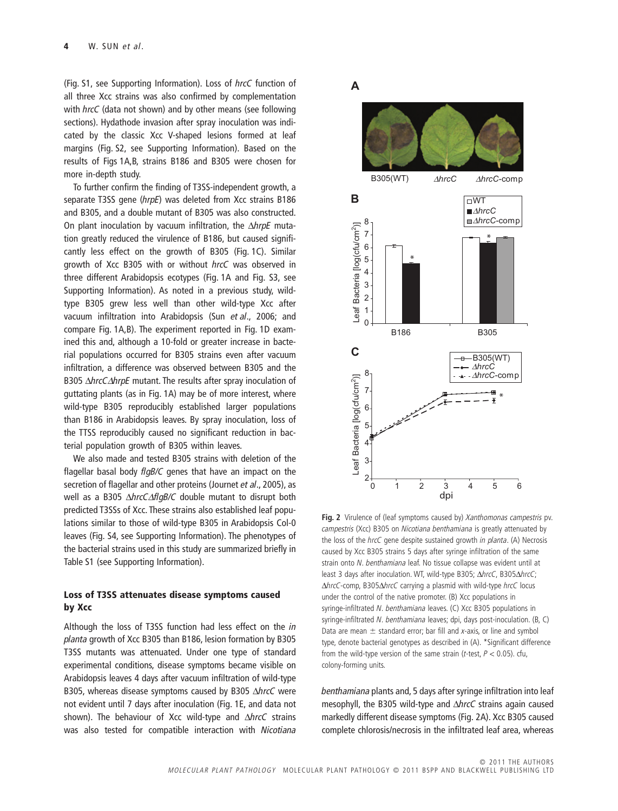(Fig. S1, see Supporting Information). Loss of *hrcC* function of all three Xcc strains was also confirmed by complementation with *hrcC* (data not shown) and by other means (see following sections). Hydathode invasion after spray inoculation was indicated by the classic Xcc V-shaped lesions formed at leaf margins (Fig. S2, see Supporting Information). Based on the results of Figs 1A,B, strains B186 and B305 were chosen for more in-depth study.

To further confirm the finding of T3SS-independent growth, a separate T3SS gene (*hrpE*) was deleted from Xcc strains B186 and B305, and a double mutant of B305 was also constructed. On plant inoculation by vacuum infiltration, the *AhrpE* mutation greatly reduced the virulence of B186, but caused significantly less effect on the growth of B305 (Fig. 1C). Similar growth of Xcc B305 with or without *hrcC* was observed in three different Arabidopsis ecotypes (Fig. 1A and Fig. S3, see Supporting Information). As noted in a previous study, wildtype B305 grew less well than other wild-type Xcc after vacuum infiltration into Arabidopsis (Sun *et al*., 2006; and compare Fig. 1A,B). The experiment reported in Fig. 1D examined this and, although a 10-fold or greater increase in bacterial populations occurred for B305 strains even after vacuum infiltration, a difference was observed between B305 and the B305  $\triangle$ *hrcC* $\triangle$ *hrpE* mutant. The results after spray inoculation of guttating plants (as in Fig. 1A) may be of more interest, where wild-type B305 reproducibly established larger populations than B186 in Arabidopsis leaves. By spray inoculation, loss of the TTSS reproducibly caused no significant reduction in bacterial population growth of B305 within leaves.

We also made and tested B305 strains with deletion of the flagellar basal body *flgB/C* genes that have an impact on the secretion of flagellar and other proteins (Journet *et al*., 2005), as well as a B305  $\triangle$ *hrcC* $\triangle$ *flgB/C* double mutant to disrupt both predicted T3SSs of Xcc. These strains also established leaf populations similar to those of wild-type B305 in Arabidopsis Col-0 leaves (Fig. S4, see Supporting Information). The phenotypes of the bacterial strains used in this study are summarized briefly in Table S1 (see Supporting Information).

## **Loss of T3SS attenuates disease symptoms caused by Xcc**

Although the loss of T3SS function had less effect on the *in planta* growth of Xcc B305 than B186, lesion formation by B305 T3SS mutants was attenuated. Under one type of standard experimental conditions, disease symptoms became visible on Arabidopsis leaves 4 days after vacuum infiltration of wild-type B305, whereas disease symptoms caused by B305 AhrcC were not evident until 7 days after inoculation (Fig. 1E, and data not shown). The behaviour of Xcc wild-type and  $\Delta h$ rcC strains was also tested for compatible interaction with *Nicotiana*

## **A**



**Fig. 2** Virulence of (leaf symptoms caused by) *Xanthomonas campestris* pv. *campestris* (Xcc) B305 on *Nicotiana benthamiana* is greatly attenuated by the loss of the *hrcC* gene despite sustained growth *in planta*. (A) Necrosis caused by Xcc B305 strains 5 days after syringe infiltration of the same strain onto *N. benthamiana* leaf. No tissue collapse was evident until at least 3 days after inoculation. WT, wild-type B305;  $\Delta$ hrcC, B305 $\Delta$ hrcC; D*hrcC*-comp, B305D*hrcC* carrying a plasmid with wild-type *hrcC* locus under the control of the native promoter. (B) Xcc populations in syringe-infiltrated *N. benthamiana* leaves. (C) Xcc B305 populations in syringe-infiltrated *N. benthamiana* leaves; dpi, days post-inoculation. (B, C) Data are mean  $\pm$  standard error; bar fill and *x*-axis, or line and symbol type, denote bacterial genotypes as described in (A). \*Significant difference from the wild-type version of the same strain (*t*-test, *P* < 0.05). cfu, colony-forming units.

*benthamiana* plants and, 5 days after syringe infiltration into leaf mesophyll, the B305 wild-type and  $\Delta h$ rcC strains again caused markedly different disease symptoms (Fig. 2A). Xcc B305 caused complete chlorosis/necrosis in the infiltrated leaf area, whereas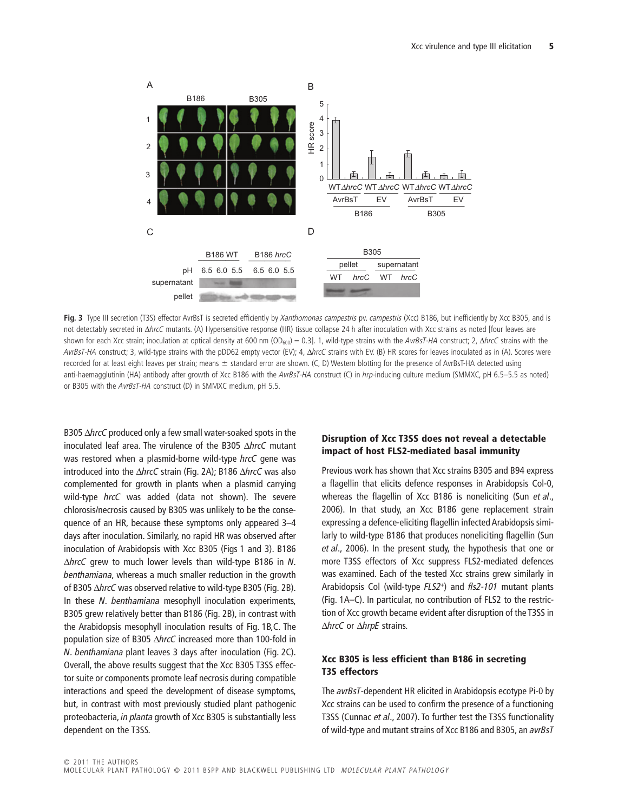

**Fig. 3** Type III secretion (T3S) effector AvrBsT is secreted efficiently by *Xanthomonas campestris* pv. *campestris* (Xcc) B186, but inefficiently by Xcc B305, and is not detectably secreted in D*hrcC* mutants. (A) Hypersensitive response (HR) tissue collapse 24 h after inoculation with Xcc strains as noted [four leaves are shown for each Xcc strain; inoculation at optical density at 600 nm (OD<sub>600</sub>) = 0.3]. 1, wild-type strains with the *AvrBsT-HA* construct; 2,  $\Delta$ *hrcC* strains with the *AvrBsT-HA* construct; 3, wild-type strains with the pDD62 empty vector (EV); 4, D*hrcC* strains with EV. (B) HR scores for leaves inoculated as in (A). Scores were recorded for at least eight leaves per strain; means ± standard error are shown. (C, D) Western blotting for the presence of AvrBsT-HA detected using anti-haemagglutinin (HA) antibody after growth of Xcc B186 with the *AvrBsT-HA* construct (C) in *hrp*-inducing culture medium (SMMXC, pH 6.5–5.5 as noted) or B305 with the *AvrBsT-HA* construct (D) in SMMXC medium, pH 5.5.

B305  $\Delta$ *hrcC* produced only a few small water-soaked spots in the inoculated leaf area. The virulence of the B305 AhrcC mutant was restored when a plasmid-borne wild-type *hrcC* gene was introduced into the *ΔhrcC* strain (Fig. 2A); B186 *ΔhrcC* was also complemented for growth in plants when a plasmid carrying wild-type *hrcC* was added (data not shown). The severe chlorosis/necrosis caused by B305 was unlikely to be the consequence of an HR, because these symptoms only appeared 3–4 days after inoculation. Similarly, no rapid HR was observed after inoculation of Arabidopsis with Xcc B305 (Figs 1 and 3). B186 D*hrcC* grew to much lower levels than wild-type B186 in *N. benthamiana*, whereas a much smaller reduction in the growth of B305  $\triangle$ *hrcC* was observed relative to wild-type B305 (Fig. 2B). In these *N. benthamiana* mesophyll inoculation experiments, B305 grew relatively better than B186 (Fig. 2B), in contrast with the Arabidopsis mesophyll inoculation results of Fig. 1B,C. The population size of B305 ΔhrcC increased more than 100-fold in *N. benthamiana* plant leaves 3 days after inoculation (Fig. 2C). Overall, the above results suggest that the Xcc B305 T3SS effector suite or components promote leaf necrosis during compatible interactions and speed the development of disease symptoms, but, in contrast with most previously studied plant pathogenic proteobacteria, *in planta* growth of Xcc B305 is substantially less dependent on the T3SS.

## **Disruption of Xcc T3SS does not reveal a detectable impact of host FLS2-mediated basal immunity**

Previous work has shown that Xcc strains B305 and B94 express a flagellin that elicits defence responses in Arabidopsis Col-0, whereas the flagellin of Xcc B186 is noneliciting (Sun *et al*., 2006). In that study, an Xcc B186 gene replacement strain expressing a defence-eliciting flagellin infected Arabidopsis similarly to wild-type B186 that produces noneliciting flagellin (Sun *et al*., 2006). In the present study, the hypothesis that one or more T3SS effectors of Xcc suppress FLS2-mediated defences was examined. Each of the tested Xcc strains grew similarly in Arabidopsis Col (wild-type *FLS2*<sup>+</sup> ) and *fls2-101* mutant plants (Fig. 1A–C). In particular, no contribution of FLS2 to the restriction of Xcc growth became evident after disruption of the T3SS in **∆hrcC** or ∆hrpE strains.

## **Xcc B305 is less efficient than B186 in secreting T3S effectors**

The *avrBsT*-dependent HR elicited in Arabidopsis ecotype Pi-0 by Xcc strains can be used to confirm the presence of a functioning T3SS (Cunnac *et al*., 2007). To further test the T3SS functionality of wild-type and mutant strains of Xcc B186 and B305, an *avrBsT*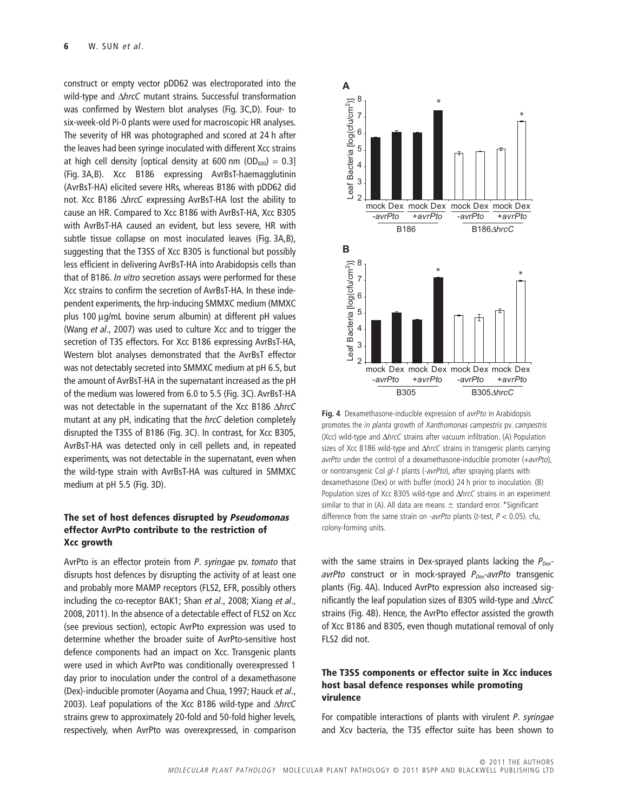construct or empty vector pDD62 was electroporated into the wild-type and  $\Delta h$ rcC mutant strains. Successful transformation was confirmed by Western blot analyses (Fig. 3C,D). Four- to six-week-old Pi-0 plants were used for macroscopic HR analyses. The severity of HR was photographed and scored at 24 h after the leaves had been syringe inoculated with different Xcc strains at high cell density [optical density at 600 nm  $(OD_{600}) = 0.3$ ] (Fig. 3A,B). Xcc B186 expressing AvrBsT-haemagglutinin (AvrBsT-HA) elicited severe HRs, whereas B186 with pDD62 did not. Xcc B186 AhrcC expressing AvrBsT-HA lost the ability to cause an HR. Compared to Xcc B186 with AvrBsT-HA, Xcc B305 with AvrBsT-HA caused an evident, but less severe, HR with subtle tissue collapse on most inoculated leaves (Fig. 3A,B), suggesting that the T3SS of Xcc B305 is functional but possibly less efficient in delivering AvrBsT-HA into Arabidopsis cells than that of B186. *In vitro* secretion assays were performed for these Xcc strains to confirm the secretion of AvrBsT-HA. In these independent experiments, the hrp-inducing SMMXC medium (MMXC plus 100 µg/mL bovine serum albumin) at different pH values (Wang *et al*., 2007) was used to culture Xcc and to trigger the secretion of T3S effectors. For Xcc B186 expressing AvrBsT-HA, Western blot analyses demonstrated that the AvrBsT effector was not detectably secreted into SMMXC medium at pH 6.5, but the amount of AvrBsT-HA in the supernatant increased as the pH of the medium was lowered from 6.0 to 5.5 (Fig. 3C). AvrBsT-HA was not detectable in the supernatant of the Xcc B186 AhrcC mutant at any pH, indicating that the *hrcC* deletion completely disrupted the T3SS of B186 (Fig. 3C). In contrast, for Xcc B305, AvrBsT-HA was detected only in cell pellets and, in repeated experiments, was not detectable in the supernatant, even when the wild-type strain with AvrBsT-HA was cultured in SMMXC medium at pH 5.5 (Fig. 3D).

## **The set of host defences disrupted by** *Pseudomonas* **effector AvrPto contribute to the restriction of Xcc growth**

AvrPto is an effector protein from *P. syringae* pv. *tomato* that disrupts host defences by disrupting the activity of at least one and probably more MAMP receptors (FLS2, EFR, possibly others including the co-receptor BAK1; Shan *et al*., 2008; Xiang *et al*., 2008, 2011). In the absence of a detectable effect of FLS2 on Xcc (see previous section), ectopic AvrPto expression was used to determine whether the broader suite of AvrPto-sensitive host defence components had an impact on Xcc. Transgenic plants were used in which AvrPto was conditionally overexpressed 1 day prior to inoculation under the control of a dexamethasone (Dex)-inducible promoter (Aoyama and Chua, 1997; Hauck *et al*., 2003). Leaf populations of the Xcc B186 wild-type and  $\triangle$ *hrcC* strains grew to approximately 20-fold and 50-fold higher levels, respectively, when AvrPto was overexpressed, in comparison



**Fig. 4** Dexamethasone-inducible expression of *avrPto* in Arabidopsis promotes the *in planta* growth of *Xanthomonas campestris* pv. *campestris* (Xcc) wild-type and D*hrcC* strains after vacuum infiltration. (A) Population sizes of Xcc B186 wild-type and ΔhrcC strains in transgenic plants carrying *avrPto* under the control of a dexamethasone-inducible promoter (+*avrPto*), or nontransgenic Col *gl-1* plants (-*avrPto*), after spraying plants with dexamethasone (Dex) or with buffer (mock) 24 h prior to inoculation. (B) Population sizes of Xcc B305 wild-type and  $\Delta h$ rcC strains in an experiment similar to that in (A). All data are means  $\pm$  standard error. \*Significant difference from the same strain on -*avrPto* plants (*t*-test, *P* < 0.05). cfu, colony-forming units.

with the same strains in Dex-sprayed plants lacking the  $P_{Dex}$ *avrPto* construct or in mock-sprayed *P<sub>Dex</sub>-avrPto* transgenic plants (Fig. 4A). Induced AvrPto expression also increased significantly the leaf population sizes of B305 wild-type and  $\Delta h$ rcC strains (Fig. 4B). Hence, the AvrPto effector assisted the growth of Xcc B186 and B305, even though mutational removal of only FLS2 did not.

## **The T3SS components or effector suite in Xcc induces host basal defence responses while promoting virulence**

For compatible interactions of plants with virulent *P. syringae* and Xcv bacteria, the T3S effector suite has been shown to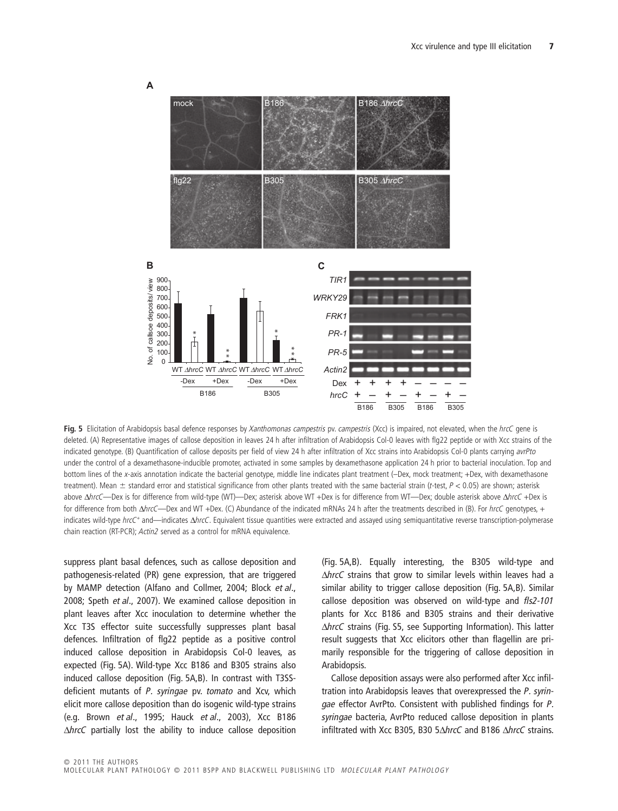

**Fig. 5** Elicitation of Arabidopsis basal defence responses by *Xanthomonas campestris* pv. *campestris* (Xcc) is impaired, not elevated, when the *hrcC* gene is deleted. (A) Representative images of callose deposition in leaves 24 h after infiltration of Arabidopsis Col-0 leaves with flg22 peptide or with Xcc strains of the indicated genotype. (B) Quantification of callose deposits per field of view 24 h after infiltration of Xcc strains into Arabidopsis Col-0 plants carrying *avrPto* under the control of a dexamethasone-inducible promoter, activated in some samples by dexamethasone application 24 h prior to bacterial inoculation. Top and bottom lines of the *x*-axis annotation indicate the bacterial genotype, middle line indicates plant treatment (–Dex, mock treatment; +Dex, with dexamethasone treatment). Mean  $\pm$  standard error and statistical significance from other plants treated with the same bacterial strain (*t-*test, *P <* 0.05) are shown; asterisk above  $\Delta h$ rcC—Dex is for difference from wild-type (WT)—Dex; asterisk above WT +Dex is for difference from WT—Dex; double asterisk above  $\Delta h$ rcC +Dex is for difference from both  $\Delta$ *hrcC*—Dex and WT +Dex. (C) Abundance of the indicated mRNAs 24 h after the treatments described in (B). For *hrcC* genotypes, + indicates wild-type hrcC<sup>+</sup> and—indicates  $\Delta$ hrcC. Equivalent tissue quantities were extracted and assayed using semiquantitative reverse transcription-polymerase chain reaction (RT-PCR); *Actin2* served as a control for mRNA equivalence.

suppress plant basal defences, such as callose deposition and pathogenesis-related (PR) gene expression, that are triggered by MAMP detection (Alfano and Collmer, 2004; Block *et al*., 2008; Speth *et al*., 2007). We examined callose deposition in plant leaves after Xcc inoculation to determine whether the Xcc T3S effector suite successfully suppresses plant basal defences. Infiltration of flg22 peptide as a positive control induced callose deposition in Arabidopsis Col-0 leaves, as expected (Fig. 5A). Wild-type Xcc B186 and B305 strains also induced callose deposition (Fig. 5A,B). In contrast with T3SSdeficient mutants of *P. syringae* pv. *tomato* and Xcv, which elicit more callose deposition than do isogenic wild-type strains (e.g. Brown *et al*., 1995; Hauck *et al*., 2003), Xcc B186  $\Delta$ *hrcC* partially lost the ability to induce callose deposition

(Fig. 5A,B). Equally interesting, the B305 wild-type and ΔhrcC strains that grow to similar levels within leaves had a similar ability to trigger callose deposition (Fig. 5A,B). Similar callose deposition was observed on wild-type and *fls2-101* plants for Xcc B186 and B305 strains and their derivative ΔhrcC strains (Fig. S5, see Supporting Information). This latter result suggests that Xcc elicitors other than flagellin are primarily responsible for the triggering of callose deposition in Arabidopsis.

Callose deposition assays were also performed after Xcc infiltration into Arabidopsis leaves that overexpressed the *P. syringae* effector AvrPto. Consistent with published findings for *P. syringae* bacteria, AvrPto reduced callose deposition in plants infiltrated with Xcc B305, B30 5 $\Delta$ *hrcC* and B186  $\Delta$ *hrcC* strains.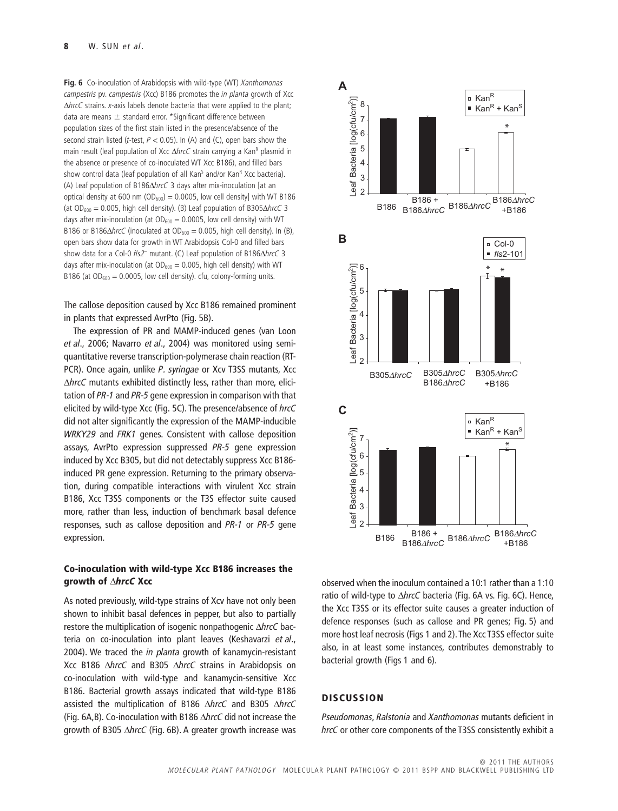**Fig. 6** Co-inoculation of Arabidopsis with wild-type (WT) *Xanthomonas campestris* pv. *campestris* (Xcc) B186 promotes the *in planta* growth of Xcc D*hrcC* strains. *x*-axis labels denote bacteria that were applied to the plant; data are means  $\pm$  standard error. \*Significant difference between population sizes of the first stain listed in the presence/absence of the second strain listed (*t*-test, *P* < 0.05). In (A) and (C), open bars show the main result (leaf population of Xcc ΔhrcC strain carrying a Kan<sup>R</sup> plasmid in the absence or presence of co-inoculated WT Xcc B186), and filled bars show control data (leaf population of all Kan<sup>s</sup> and/or Kan<sup>R</sup> Xcc bacteria). (A) Leaf population of B186 $\Delta$ hrcC 3 days after mix-inoculation [at an optical density at 600 nm ( $OD_{600}$ ) = 0.0005, low cell density] with WT B186 (at  $OD_{600} = 0.005$ , high cell density). (B) Leaf population of B305 $\triangle$ *hrcC* 3 days after mix-inoculation (at  $OD_{600} = 0.0005$ , low cell density) with WT B186 or B186 $\triangle$ *hrcC* (inoculated at OD<sub>600</sub> = 0.005, high cell density). In (B), open bars show data for growth in WT Arabidopsis Col-0 and filled bars show data for a Col-0 *fls2*<sup>-</sup> mutant. (C) Leaf population of B186 $\triangle$ hrcC 3 days after mix-inoculation (at  $OD_{600} = 0.005$ , high cell density) with WT B186 (at  $OD_{600} = 0.0005$ , low cell density). cfu, colony-forming units.

The callose deposition caused by Xcc B186 remained prominent in plants that expressed AvrPto (Fig. 5B).

The expression of PR and MAMP-induced genes (van Loon *et al*., 2006; Navarro *et al*., 2004) was monitored using semiquantitative reverse transcription-polymerase chain reaction (RT-PCR). Once again, unlike *P. syringae* or Xcv T3SS mutants, Xcc ΔhrcC mutants exhibited distinctly less, rather than more, elicitation of *PR-1* and *PR-5* gene expression in comparison with that elicited by wild-type Xcc (Fig. 5C). The presence/absence of *hrcC* did not alter significantly the expression of the MAMP-inducible *WRKY29* and *FRK1* genes. Consistent with callose deposition assays, AvrPto expression suppressed *PR-5* gene expression induced by Xcc B305, but did not detectably suppress Xcc B186 induced PR gene expression. Returning to the primary observation, during compatible interactions with virulent Xcc strain B186, Xcc T3SS components or the T3S effector suite caused more, rather than less, induction of benchmark basal defence responses, such as callose deposition and *PR-1* or *PR-5* gene expression.

### **Co-inoculation with wild-type Xcc B186 increases the growth of** D*hrcC* **Xcc**

As noted previously, wild-type strains of Xcv have not only been shown to inhibit basal defences in pepper, but also to partially restore the multiplication of isogenic nonpathogenic D*hrcC* bacteria on co-inoculation into plant leaves (Keshavarzi *et al*., 2004). We traced the *in planta* growth of kanamycin-resistant Xcc B186 D*hrcC* and B305 D*hrcC* strains in Arabidopsis on co-inoculation with wild-type and kanamycin-sensitive Xcc B186. Bacterial growth assays indicated that wild-type B186 assisted the multiplication of B186 D*hrcC* and B305 D*hrcC* (Fig. 6A,B). Co-inoculation with B186 D*hrcC* did not increase the growth of B305 ΔhrcC (Fig. 6B). A greater growth increase was



observed when the inoculum contained a 10:1 rather than a 1:10 ratio of wild-type to ΔhrcC bacteria (Fig. 6A vs. Fig. 6C). Hence, the Xcc T3SS or its effector suite causes a greater induction of defence responses (such as callose and PR genes; Fig. 5) and more host leaf necrosis (Figs 1 and 2).The Xcc T3SS effector suite also, in at least some instances, contributes demonstrably to bacterial growth (Figs 1 and 6).

## **DISCUSSION**

*Pseudomonas*, *Ralstonia* and *Xanthomonas* mutants deficient in *hrcC* or other core components of the T3SS consistently exhibit a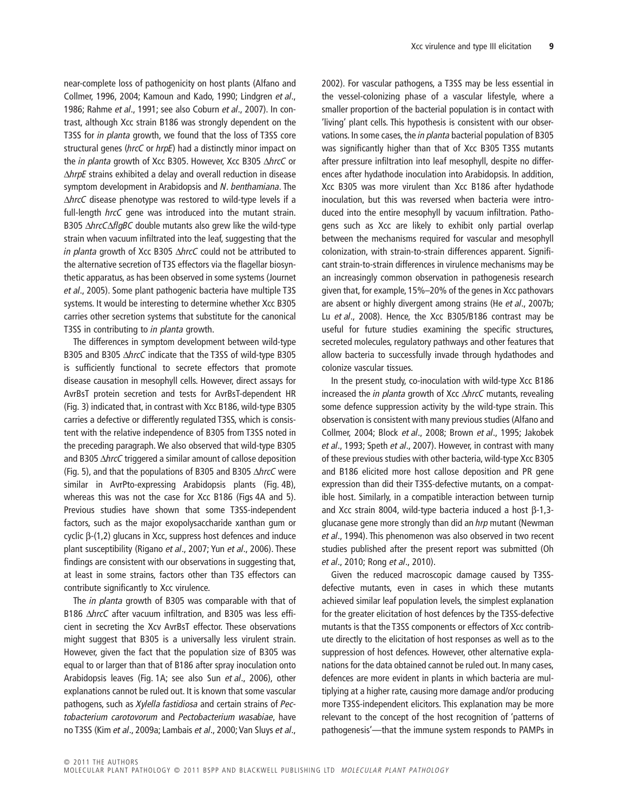near-complete loss of pathogenicity on host plants (Alfano and Collmer, 1996, 2004; Kamoun and Kado, 1990; Lindgren *et al*., 1986; Rahme *et al*., 1991; see also Coburn *et al*., 2007). In contrast, although Xcc strain B186 was strongly dependent on the T3SS for *in planta* growth, we found that the loss of T3SS core structural genes (*hrcC* or *hrpE*) had a distinctly minor impact on the *in planta* growth of Xcc B305. However, Xcc B305 ΔhrcC or D*hrpE* strains exhibited a delay and overall reduction in disease symptom development in Arabidopsis and *N. benthamiana*. The D*hrcC* disease phenotype was restored to wild-type levels if a full-length *hrcC* gene was introduced into the mutant strain. B305  $\triangle$ *hrcC* $\triangle$ *flgBC* double mutants also grew like the wild-type strain when vacuum infiltrated into the leaf, suggesting that the *in planta* growth of Xcc B305  $\triangle$ *hrcC* could not be attributed to the alternative secretion of T3S effectors via the flagellar biosynthetic apparatus, as has been observed in some systems (Journet *et al*., 2005). Some plant pathogenic bacteria have multiple T3S systems. It would be interesting to determine whether Xcc B305 carries other secretion systems that substitute for the canonical T3SS in contributing to *in planta* growth.

The differences in symptom development between wild-type B305 and B305  $\triangle$ *hrcC* indicate that the T3SS of wild-type B305 is sufficiently functional to secrete effectors that promote disease causation in mesophyll cells. However, direct assays for AvrBsT protein secretion and tests for AvrBsT-dependent HR (Fig. 3) indicated that, in contrast with Xcc B186, wild-type B305 carries a defective or differently regulated T3SS, which is consistent with the relative independence of B305 from T3SS noted in the preceding paragraph. We also observed that wild-type B305 and B305  $\triangle$ *hrcC* triggered a similar amount of callose deposition (Fig. 5), and that the populations of B305 and B305 D*hrcC* were similar in AvrPto-expressing Arabidopsis plants (Fig. 4B), whereas this was not the case for Xcc B186 (Figs 4A and 5). Previous studies have shown that some T3SS-independent factors, such as the major exopolysaccharide xanthan gum or cyclic  $\beta$ -(1,2) glucans in Xcc, suppress host defences and induce plant susceptibility (Rigano *et al*., 2007; Yun *et al*., 2006). These findings are consistent with our observations in suggesting that, at least in some strains, factors other than T3S effectors can contribute significantly to Xcc virulence.

The *in planta* growth of B305 was comparable with that of B186 AhrcC after vacuum infiltration, and B305 was less efficient in secreting the Xcv AvrBsT effector. These observations might suggest that B305 is a universally less virulent strain. However, given the fact that the population size of B305 was equal to or larger than that of B186 after spray inoculation onto Arabidopsis leaves (Fig. 1A; see also Sun *et al*., 2006), other explanations cannot be ruled out. It is known that some vascular pathogens, such as *Xylella fastidiosa* and certain strains of *Pectobacterium carotovorum* and *Pectobacterium wasabiae*, have no T3SS (Kim *et al*., 2009a; Lambais *et al*., 2000; Van Sluys *et al*.,

2002). For vascular pathogens, a T3SS may be less essential in the vessel-colonizing phase of a vascular lifestyle, where a smaller proportion of the bacterial population is in contact with 'living' plant cells. This hypothesis is consistent with our observations. In some cases, the *in planta* bacterial population of B305 was significantly higher than that of Xcc B305 T3SS mutants after pressure infiltration into leaf mesophyll, despite no differences after hydathode inoculation into Arabidopsis. In addition, Xcc B305 was more virulent than Xcc B186 after hydathode inoculation, but this was reversed when bacteria were introduced into the entire mesophyll by vacuum infiltration. Pathogens such as Xcc are likely to exhibit only partial overlap between the mechanisms required for vascular and mesophyll colonization, with strain-to-strain differences apparent. Significant strain-to-strain differences in virulence mechanisms may be an increasingly common observation in pathogenesis research given that, for example, 15%–20% of the genes in Xcc pathovars are absent or highly divergent among strains (He *et al*., 2007b; Lu *et al*., 2008). Hence, the Xcc B305/B186 contrast may be useful for future studies examining the specific structures, secreted molecules, regulatory pathways and other features that allow bacteria to successfully invade through hydathodes and colonize vascular tissues.

In the present study, co-inoculation with wild-type Xcc B186 increased the *in planta* growth of Xcc D*hrcC* mutants, revealing some defence suppression activity by the wild-type strain. This observation is consistent with many previous studies (Alfano and Collmer, 2004; Block *et al*., 2008; Brown *et al*., 1995; Jakobek *et al*., 1993; Speth *et al*., 2007). However, in contrast with many of these previous studies with other bacteria, wild-type Xcc B305 and B186 elicited more host callose deposition and PR gene expression than did their T3SS-defective mutants, on a compatible host. Similarly, in a compatible interaction between turnip and Xcc strain 8004, wild-type bacteria induced a host  $\beta$ -1,3glucanase gene more strongly than did an *hrp* mutant (Newman *et al*., 1994). This phenomenon was also observed in two recent studies published after the present report was submitted (Oh *et al*., 2010; Rong *et al*., 2010).

Given the reduced macroscopic damage caused by T3SSdefective mutants, even in cases in which these mutants achieved similar leaf population levels, the simplest explanation for the greater elicitation of host defences by the T3SS-defective mutants is that the T3SS components or effectors of Xcc contribute directly to the elicitation of host responses as well as to the suppression of host defences. However, other alternative explanations for the data obtained cannot be ruled out. In many cases, defences are more evident in plants in which bacteria are multiplying at a higher rate, causing more damage and/or producing more T3SS-independent elicitors. This explanation may be more relevant to the concept of the host recognition of 'patterns of pathogenesis'—that the immune system responds to PAMPs in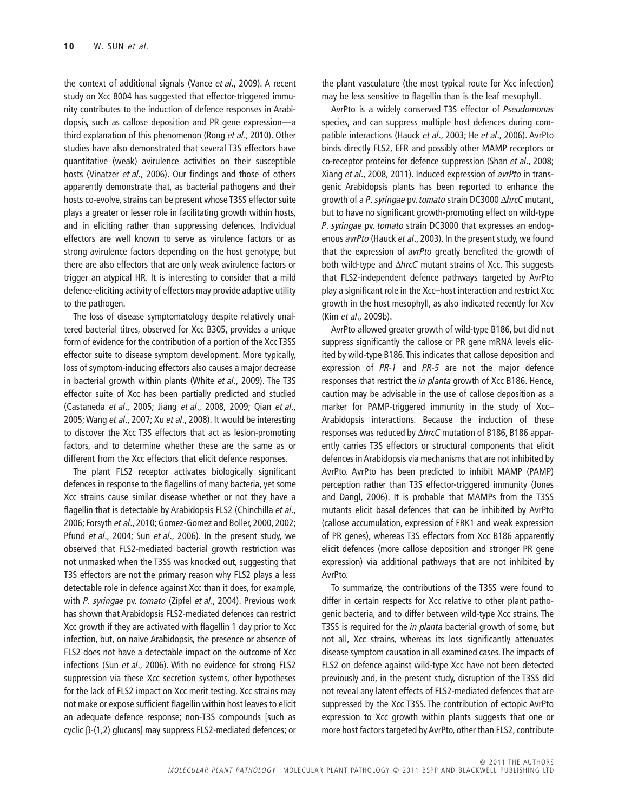the context of additional signals (Vance *et al*., 2009). A recent study on Xcc 8004 has suggested that effector-triggered immunity contributes to the induction of defence responses in Arabidopsis, such as callose deposition and PR gene expression—a third explanation of this phenomenon (Rong *et al*., 2010). Other studies have also demonstrated that several T3S effectors have quantitative (weak) avirulence activities on their susceptible hosts (Vinatzer *et al*., 2006). Our findings and those of others apparently demonstrate that, as bacterial pathogens and their hosts co-evolve, strains can be present whose T3SS effector suite plays a greater or lesser role in facilitating growth within hosts, and in eliciting rather than suppressing defences. Individual effectors are well known to serve as virulence factors or as strong avirulence factors depending on the host genotype, but there are also effectors that are only weak avirulence factors or trigger an atypical HR. It is interesting to consider that a mild defence-eliciting activity of effectors may provide adaptive utility to the pathogen.

The loss of disease symptomatology despite relatively unaltered bacterial titres, observed for Xcc B305, provides a unique form of evidence for the contribution of a portion of the Xcc T3SS effector suite to disease symptom development. More typically, loss of symptom-inducing effectors also causes a major decrease in bacterial growth within plants (White *et al*., 2009). The T3S effector suite of Xcc has been partially predicted and studied (Castaneda *et al*., 2005; Jiang *et al*., 2008, 2009; Qian *et al*., 2005; Wang *et al*., 2007; Xu *et al*., 2008). It would be interesting to discover the Xcc T3S effectors that act as lesion-promoting factors, and to determine whether these are the same as or different from the Xcc effectors that elicit defence responses.

The plant FLS2 receptor activates biologically significant defences in response to the flagellins of many bacteria, yet some Xcc strains cause similar disease whether or not they have a flagellin that is detectable by Arabidopsis FLS2 (Chinchilla *et al*., 2006; Forsyth *et al*., 2010; Gomez-Gomez and Boller, 2000, 2002; Pfund *et al*., 2004; Sun *et al*., 2006). In the present study, we observed that FLS2-mediated bacterial growth restriction was not unmasked when the T3SS was knocked out, suggesting that T3S effectors are not the primary reason why FLS2 plays a less detectable role in defence against Xcc than it does, for example, with *P. syringae* pv. *tomato* (Zipfel *et al*., 2004). Previous work has shown that Arabidopsis FLS2-mediated defences can restrict Xcc growth if they are activated with flagellin 1 day prior to Xcc infection, but, on naive Arabidopsis, the presence or absence of FLS2 does not have a detectable impact on the outcome of Xcc infections (Sun *et al*., 2006). With no evidence for strong FLS2 suppression via these Xcc secretion systems, other hypotheses for the lack of FLS2 impact on Xcc merit testing. Xcc strains may not make or expose sufficient flagellin within host leaves to elicit an adequate defence response; non-T3S compounds [such as cyclic b-(1,2) glucans] may suppress FLS2-mediated defences; or

the plant vasculature (the most typical route for Xcc infection) may be less sensitive to flagellin than is the leaf mesophyll.

AvrPto is a widely conserved T3S effector of *Pseudomonas* species, and can suppress multiple host defences during compatible interactions (Hauck *et al*., 2003; He *et al*., 2006). AvrPto binds directly FLS2, EFR and possibly other MAMP receptors or co-receptor proteins for defence suppression (Shan *et al*., 2008; Xiang *et al*., 2008, 2011). Induced expression of *avrPto* in transgenic Arabidopsis plants has been reported to enhance the growth of a *P. syringae* pv. *tomato* strain DC3000 D*hrcC* mutant, but to have no significant growth-promoting effect on wild-type *P. syringae* pv. *tomato* strain DC3000 that expresses an endogenous *avrPto* (Hauck *et al*., 2003). In the present study, we found that the expression of *avrPto* greatly benefited the growth of both wild-type and  $\Delta h$ rcC mutant strains of Xcc. This suggests that FLS2-independent defence pathways targeted by AvrPto play a significant role in the Xcc–host interaction and restrict Xcc growth in the host mesophyll, as also indicated recently for Xcv (Kim *et al*., 2009b).

AvrPto allowed greater growth of wild-type B186, but did not suppress significantly the callose or PR gene mRNA levels elicited by wild-type B186.This indicates that callose deposition and expression of *PR-1* and *PR-5* are not the major defence responses that restrict the *in planta* growth of Xcc B186. Hence, caution may be advisable in the use of callose deposition as a marker for PAMP-triggered immunity in the study of Xcc– Arabidopsis interactions. Because the induction of these responses was reduced by  $\Delta$ *hrcC* mutation of B186, B186 apparently carries T3S effectors or structural components that elicit defences in Arabidopsis via mechanisms that are not inhibited by AvrPto. AvrPto has been predicted to inhibit MAMP (PAMP) perception rather than T3S effector-triggered immunity (Jones and Dangl, 2006). It is probable that MAMPs from the T3SS mutants elicit basal defences that can be inhibited by AvrPto (callose accumulation, expression of FRK1 and weak expression of PR genes), whereas T3S effectors from Xcc B186 apparently elicit defences (more callose deposition and stronger PR gene expression) via additional pathways that are not inhibited by AvrPto.

To summarize, the contributions of the T3SS were found to differ in certain respects for Xcc relative to other plant pathogenic bacteria, and to differ between wild-type Xcc strains. The T3SS is required for the *in planta* bacterial growth of some, but not all, Xcc strains, whereas its loss significantly attenuates disease symptom causation in all examined cases.The impacts of FLS2 on defence against wild-type Xcc have not been detected previously and, in the present study, disruption of the T3SS did not reveal any latent effects of FLS2-mediated defences that are suppressed by the Xcc T3SS. The contribution of ectopic AvrPto expression to Xcc growth within plants suggests that one or more host factors targeted by AvrPto, other than FLS2, contribute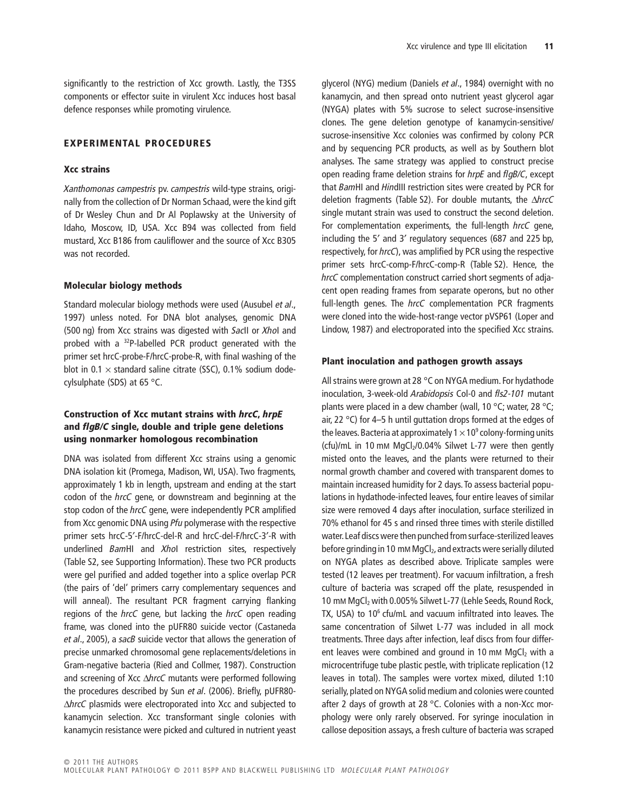significantly to the restriction of Xcc growth. Lastly, the T3SS components or effector suite in virulent Xcc induces host basal defence responses while promoting virulence.

#### **EXPERIMENTAL PROCEDURES**

#### **Xcc strains**

*Xanthomonas campestris* pv. *campestris* wild-type strains, originally from the collection of Dr Norman Schaad, were the kind gift of Dr Wesley Chun and Dr Al Poplawsky at the University of Idaho, Moscow, ID, USA. Xcc B94 was collected from field mustard, Xcc B186 from cauliflower and the source of Xcc B305 was not recorded.

#### **Molecular biology methods**

Standard molecular biology methods were used (Ausubel *et al*., 1997) unless noted. For DNA blot analyses, genomic DNA (500 ng) from Xcc strains was digested with *Sac*II or *Xho*I and probed with a 32P-labelled PCR product generated with the primer set hrcC-probe-F/hrcC-probe-R, with final washing of the blot in 0.1  $\times$  standard saline citrate (SSC), 0.1% sodium dodecylsulphate (SDS) at 65 °C.

## **Construction of Xcc mutant strains with** *hrcC***,** *hrpE* **and** *flgB/C* **single, double and triple gene deletions using nonmarker homologous recombination**

DNA was isolated from different Xcc strains using a genomic DNA isolation kit (Promega, Madison, WI, USA). Two fragments, approximately 1 kb in length, upstream and ending at the start codon of the *hrcC* gene, or downstream and beginning at the stop codon of the *hrcC* gene, were independently PCR amplified from Xcc genomic DNA using *Pfu* polymerase with the respective primer sets hrcC-5′-F/hrcC-del-R and hrcC-del-F/hrcC-3′-R with underlined *Bam*HI and *Xho*I restriction sites, respectively (Table S2, see Supporting Information). These two PCR products were gel purified and added together into a splice overlap PCR (the pairs of 'del' primers carry complementary sequences and will anneal). The resultant PCR fragment carrying flanking regions of the *hrcC* gene, but lacking the *hrcC* open reading frame, was cloned into the pUFR80 suicide vector (Castaneda *et al*., 2005), a *sacB* suicide vector that allows the generation of precise unmarked chromosomal gene replacements/deletions in Gram-negative bacteria (Ried and Collmer, 1987). Construction and screening of Xcc D*hrcC* mutants were performed following the procedures described by Sun *et al*. (2006). Briefly, pUFR80- D*hrcC* plasmids were electroporated into Xcc and subjected to kanamycin selection. Xcc transformant single colonies with kanamycin resistance were picked and cultured in nutrient yeast

glycerol (NYG) medium (Daniels *et al*., 1984) overnight with no kanamycin, and then spread onto nutrient yeast glycerol agar (NYGA) plates with 5% sucrose to select sucrose-insensitive clones. The gene deletion genotype of kanamycin-sensitive/ sucrose-insensitive Xcc colonies was confirmed by colony PCR and by sequencing PCR products, as well as by Southern blot analyses. The same strategy was applied to construct precise open reading frame deletion strains for *hrpE* and *flgB/C*, except that *Bam*HI and *Hin*dIII restriction sites were created by PCR for deletion fragments (Table S2). For double mutants, the D*hrcC* single mutant strain was used to construct the second deletion. For complementation experiments, the full-length *hrcC* gene, including the 5′ and 3′ regulatory sequences (687 and 225 bp, respectively, for *hrcC*), was amplified by PCR using the respective primer sets hrcC-comp-F/hrcC-comp-R (Table S2). Hence, the *hrcC* complementation construct carried short segments of adjacent open reading frames from separate operons, but no other full-length genes. The *hrcC* complementation PCR fragments were cloned into the wide-host-range vector pVSP61 (Loper and Lindow, 1987) and electroporated into the specified Xcc strains.

#### **Plant inoculation and pathogen growth assays**

All strains were grown at 28 °C on NYGA medium. For hydathode inoculation, 3-week-old *Arabidopsis* Col-0 and *fls2-101* mutant plants were placed in a dew chamber (wall, 10 °C; water, 28 °C; air, 22 °C) for 4–5 h until guttation drops formed at the edges of the leaves. Bacteria at approximately  $1 \times 10^9$  colony-forming units (cfu)/mL in 10 mM  $MqCl<sub>2</sub>/0.04%$  Silwet L-77 were then gently misted onto the leaves, and the plants were returned to their normal growth chamber and covered with transparent domes to maintain increased humidity for 2 days.To assess bacterial populations in hydathode-infected leaves, four entire leaves of similar size were removed 4 days after inoculation, surface sterilized in 70% ethanol for 45 s and rinsed three times with sterile distilled water.Leaf discs were then punched from surface-sterilized leaves before grinding in 10 mm MgCl<sub>2</sub>, and extracts were serially diluted on NYGA plates as described above. Triplicate samples were tested (12 leaves per treatment). For vacuum infiltration, a fresh culture of bacteria was scraped off the plate, resuspended in 10 mM MgCl<sub>2</sub> with 0.005% Silwet L-77 (Lehle Seeds, Round Rock, TX, USA) to 10<sup>6</sup> cfu/mL and vacuum infiltrated into leaves. The same concentration of Silwet L-77 was included in all mock treatments. Three days after infection, leaf discs from four different leaves were combined and ground in 10 mM MgCl2 with a microcentrifuge tube plastic pestle, with triplicate replication (12 leaves in total). The samples were vortex mixed, diluted 1:10 serially, plated on NYGA solid medium and colonies were counted after 2 days of growth at 28 °C. Colonies with a non-Xcc morphology were only rarely observed. For syringe inoculation in callose deposition assays, a fresh culture of bacteria was scraped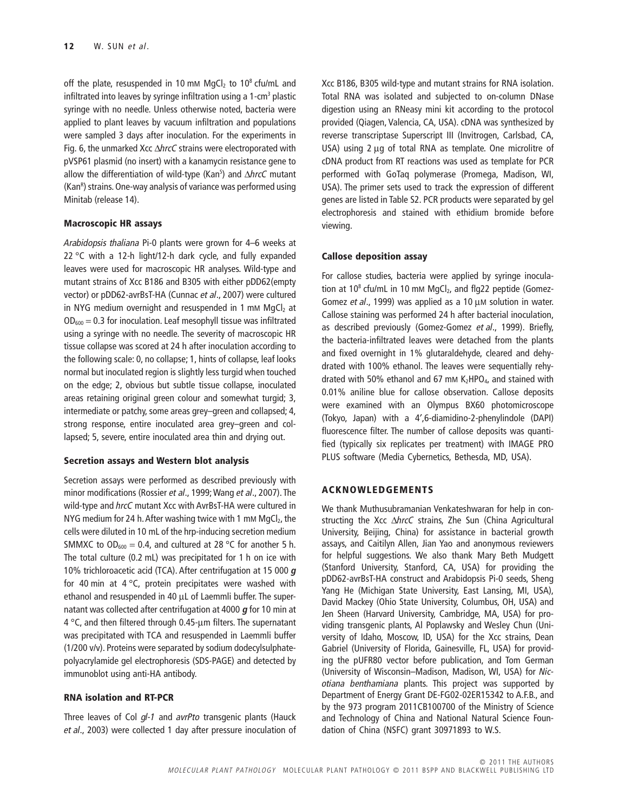off the plate, resuspended in 10 mM  $MqCl<sub>2</sub>$  to 10<sup>8</sup> cfu/mL and infiltrated into leaves by syringe infiltration using a  $1$ -cm<sup>3</sup> plastic syringe with no needle. Unless otherwise noted, bacteria were applied to plant leaves by vacuum infiltration and populations were sampled 3 days after inoculation. For the experiments in Fig. 6, the unmarked Xcc  $\Delta$ *hrcC* strains were electroporated with pVSP61 plasmid (no insert) with a kanamycin resistance gene to allow the differentiation of wild-type (Kan<sup>s</sup>) and *∆hrcC* mutant (Kan<sup>r</sup>) strains. One-way analysis of variance was performed using Minitab (release 14).

## **Macroscopic HR assays**

*Arabidopsis thaliana* Pi-0 plants were grown for 4–6 weeks at 22 °C with a 12-h light/12-h dark cycle, and fully expanded leaves were used for macroscopic HR analyses. Wild-type and mutant strains of Xcc B186 and B305 with either pDD62(empty vector) or pDD62-avrBsT-HA (Cunnac *et al*., 2007) were cultured in NYG medium overnight and resuspended in 1 mM  $MqCl<sub>2</sub>$  at  $OD_{600} = 0.3$  for inoculation. Leaf mesophyll tissue was infiltrated using a syringe with no needle. The severity of macroscopic HR tissue collapse was scored at 24 h after inoculation according to the following scale: 0, no collapse; 1, hints of collapse, leaf looks normal but inoculated region is slightly less turgid when touched on the edge; 2, obvious but subtle tissue collapse, inoculated areas retaining original green colour and somewhat turgid; 3, intermediate or patchy, some areas grey–green and collapsed; 4, strong response, entire inoculated area grey–green and collapsed; 5, severe, entire inoculated area thin and drying out.

### **Secretion assays and Western blot analysis**

Secretion assays were performed as described previously with minor modifications (Rossier *et al*., 1999; Wang *et al*., 2007). The wild-type and *hrcC* mutant Xcc with AvrBsT-HA were cultured in NYG medium for 24 h. After washing twice with 1 mM  $MgCl<sub>2</sub>$ , the cells were diluted in 10 mL of the hrp-inducing secretion medium SMMXC to  $OD_{600} = 0.4$ , and cultured at 28 °C for another 5 h. The total culture (0.2 mL) was precipitated for 1 h on ice with 10% trichloroacetic acid (TCA). After centrifugation at 15 000 *g* for 40 min at 4  $\degree$ C, protein precipitates were washed with ethanol and resuspended in 40 µL of Laemmli buffer. The supernatant was collected after centrifugation at 4000 *g* for 10 min at 4  $\degree$ C, and then filtered through 0.45-um filters. The supernatant was precipitated with TCA and resuspended in Laemmli buffer (1/200 v/v). Proteins were separated by sodium dodecylsulphatepolyacrylamide gel electrophoresis (SDS-PAGE) and detected by immunoblot using anti-HA antibody.

### **RNA isolation and RT-PCR**

Three leaves of Col *gl-1* and *avrPto* transgenic plants (Hauck *et al*., 2003) were collected 1 day after pressure inoculation of Xcc B186, B305 wild-type and mutant strains for RNA isolation. Total RNA was isolated and subjected to on-column DNase digestion using an RNeasy mini kit according to the protocol provided (Qiagen, Valencia, CA, USA). cDNA was synthesized by reverse transcriptase Superscript III (Invitrogen, Carlsbad, CA, USA) using 2 µg of total RNA as template. One microlitre of cDNA product from RT reactions was used as template for PCR performed with GoTaq polymerase (Promega, Madison, WI, USA). The primer sets used to track the expression of different genes are listed in Table S2. PCR products were separated by gel electrophoresis and stained with ethidium bromide before viewing.

## **Callose deposition assay**

For callose studies, bacteria were applied by syringe inoculation at  $10^8$  cfu/mL in 10 mM MgCl<sub>2</sub>, and flg22 peptide (Gomez-Gomez *et al.*, 1999) was applied as a 10 µM solution in water. Callose staining was performed 24 h after bacterial inoculation, as described previously (Gomez-Gomez *et al*., 1999). Briefly, the bacteria-infiltrated leaves were detached from the plants and fixed overnight in 1% glutaraldehyde, cleared and dehydrated with 100% ethanol. The leaves were sequentially rehydrated with 50% ethanol and 67 mm  $K_2HPO_4$ , and stained with 0.01% aniline blue for callose observation. Callose deposits were examined with an Olympus BX60 photomicroscope (Tokyo, Japan) with a 4′,6-diamidino-2-phenylindole (DAPI) fluorescence filter. The number of callose deposits was quantified (typically six replicates per treatment) with IMAGE PRO PLUS software (Media Cybernetics, Bethesda, MD, USA).

## **ACKNOWLEDGEMENTS**

We thank Muthusubramanian Venkateshwaran for help in constructing the Xcc D*hrcC* strains, Zhe Sun (China Agricultural University, Beijing, China) for assistance in bacterial growth assays, and Caitilyn Allen, Jian Yao and anonymous reviewers for helpful suggestions. We also thank Mary Beth Mudgett (Stanford University, Stanford, CA, USA) for providing the pDD62-avrBsT-HA construct and Arabidopsis Pi-0 seeds, Sheng Yang He (Michigan State University, East Lansing, MI, USA), David Mackey (Ohio State University, Columbus, OH, USA) and Jen Sheen (Harvard University, Cambridge, MA, USA) for providing transgenic plants, Al Poplawsky and Wesley Chun (University of Idaho, Moscow, ID, USA) for the Xcc strains, Dean Gabriel (University of Florida, Gainesville, FL, USA) for providing the pUFR80 vector before publication, and Tom German (University of Wisconsin–Madison, Madison, WI, USA) for *Nicotiana benthamiana* plants. This project was supported by Department of Energy Grant DE-FG02-02ER15342 to A.F.B., and by the 973 program 2011CB100700 of the Ministry of Science and Technology of China and National Natural Science Foundation of China (NSFC) grant 30971893 to W.S.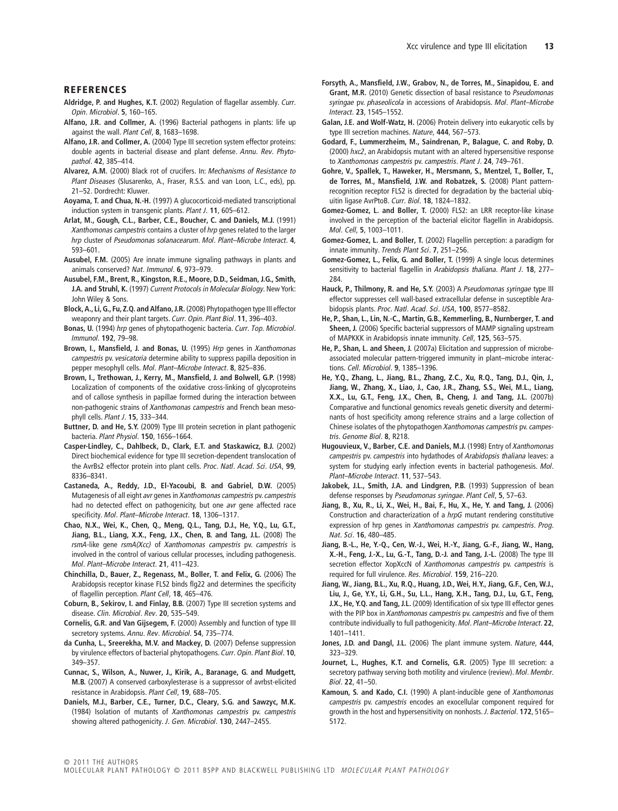#### **REFERENCES**

- **Aldridge, P. and Hughes, K.T.** (2002) Regulation of flagellar assembly. *Curr. Opin. Microbiol*. **5**, 160–165.
- **Alfano, J.R. and Collmer, A.** (1996) Bacterial pathogens in plants: life up against the wall. *Plant Cell*, **8**, 1683–1698.
- **Alfano, J.R. and Collmer, A.** (2004) Type III secretion system effector proteins: double agents in bacterial disease and plant defense. *Annu. Rev. Phytopathol*. **42**, 385–414.
- **Alvarez, A.M.** (2000) Black rot of crucifers. In: *Mechanisms of Resistance to Plant Diseases* (Slusarenko, A., Fraser, R.S.S. and van Loon, L.C., eds), pp. 21–52. Dordrecht: Kluwer.
- **Aoyama, T. and Chua, N.-H.** (1997) A glucocorticoid-mediated transcriptional induction system in transgenic plants. *Plant J*. **11**, 605–612.
- **Arlat, M., Gough, C.L., Barber, C.E., Boucher, C. and Daniels, M.J.** (1991) *Xanthomonas campestris* contains a cluster of *hrp* genes related to the larger *hrp* cluster of *Pseudomonas solanacearum*. *Mol. Plant–Microbe Interact*. **4**, 593–601.
- **Ausubel, F.M.** (2005) Are innate immune signaling pathways in plants and animals conserved? *Nat. Immunol*. **6**, 973–979.
- **Ausubel, F.M., Brent, R., Kingston, R.E., Moore, D.D., Seidman, J.G., Smith, J.A. and Struhl, K.** (1997) *Current Protocols in Molecular Biology*. New York: John Wiley & Sons.
- **Block,A., Li,G., Fu, Z.Q. and Alfano, J.R.** (2008) Phytopathogen type III effector weaponry and their plant targets. *Curr. Opin. Plant Biol*. **11**, 396–403.
- **Bonas, U.** (1994) *hrp* genes of phytopathogenic bacteria. *Curr. Top. Microbiol. Immunol*. **192**, 79–98.
- **Brown, I., Mansfield, J. and Bonas, U.** (1995) *Hrp* genes in *Xanthomonas campestris* pv. *vesicatoria* determine ability to suppress papilla deposition in pepper mesophyll cells. *Mol. Plant–Microbe Interact*. **8**, 825–836.
- **Brown, I., Trethowan, J., Kerry, M., Mansfield, J. and Bolwell, G.P.** (1998) Localization of components of the oxidative cross-linking of glycoproteins and of callose synthesis in papillae formed during the interaction between non-pathogenic strains of *Xanthomonas campestris* and French bean mesophyll cells. *Plant J*. **15**, 333–344.
- **Buttner, D. and He, S.Y.** (2009) Type III protein secretion in plant pathogenic bacteria. *Plant Physiol*. **150**, 1656–1664.
- **Casper-Lindley, C., Dahlbeck, D., Clark, E.T. and Staskawicz, B.J.** (2002) Direct biochemical evidence for type III secretion-dependent translocation of the AvrBs2 effector protein into plant cells. *Proc. Natl. Acad. Sci. USA*, **99**, 8336–8341.
- **Castaneda, A., Reddy, J.D., El-Yacoubi, B. and Gabriel, D.W.** (2005) Mutagenesis of all eight *avr* genes in *Xanthomonas campestris* pv.*campestris* had no detected effect on pathogenicity, but one *avr* gene affected race specificity. *Mol. Plant–Microbe Interact*. **18**, 1306–1317.
- **Chao, N.X., Wei, K., Chen, Q., Meng, Q.L., Tang, D.J., He, Y.Q., Lu, G.T., Jiang, B.L., Liang, X.X., Feng, J.X., Chen, B. and Tang, J.L.** (2008) The *rsmA*-like gene *rsmA(Xcc)* of *Xanthomonas campestris* pv. *campestris* is involved in the control of various cellular processes, including pathogenesis. *Mol. Plant–Microbe Interact*. **21**, 411–423.
- **Chinchilla, D., Bauer, Z., Regenass, M., Boller, T. and Felix, G.** (2006) The Arabidopsis receptor kinase FLS2 binds flg22 and determines the specificity of flagellin perception. *Plant Cell*, **18**, 465–476.
- **Coburn, B., Sekirov, I. and Finlay, B.B.** (2007) Type III secretion systems and disease. *Clin. Microbiol. Rev*. **20**, 535–549.
- **Cornelis, G.R. and Van Gijsegem, F.** (2000) Assembly and function of type III secretory systems. *Annu. Rev. Microbiol*. **54**, 735–774.
- **da Cunha, L., Sreerekha, M.V. and Mackey, D.** (2007) Defense suppression by virulence effectors of bacterial phytopathogens. *Curr. Opin. Plant Biol*. **10**, 349–357.
- **Cunnac, S., Wilson, A., Nuwer, J., Kirik, A., Baranage, G. and Mudgett, M.B.** (2007) A conserved carboxylesterase is a suppressor of avrbst-elicited resistance in Arabidopsis. *Plant Cell*, **19**, 688–705.
- **Daniels, M.J., Barber, C.E., Turner, D.C., Cleary, S.G. and Sawzyc, M.K.** (1984) Isolation of mutants of *Xanthomonas campestris* pv. *campestris* showing altered pathogenicity. *J. Gen. Microbiol*. **130**, 2447–2455.
- **Forsyth, A., Mansfield, J.W., Grabov, N., de Torres, M., Sinapidou, E. and Grant, M.R.** (2010) Genetic dissection of basal resistance to *Pseudomonas syringae* pv. *phaseolicola* in accessions of Arabidopsis. *Mol. Plant–Microbe Interact*. **23**, 1545–1552.
- **Galan, J.E. and Wolf-Watz, H.** (2006) Protein delivery into eukaryotic cells by type III secretion machines. *Nature*, **444**, 567–573.
- **Godard, F., Lummerzheim, M., Saindrenan, P., Balague, C. and Roby, D.** (2000) *hxc2*, an Arabidopsis mutant with an altered hypersensitive response to *Xanthomonas campestris* pv. *campestris*. *Plant J*. **24**, 749–761.
- **Gohre, V., Spallek, T., Haweker, H., Mersmann, S., Mentzel, T., Boller, T., de Torres, M., Mansfield, J.W. and Robatzek, S.** (2008) Plant patternrecognition receptor FLS2 is directed for degradation by the bacterial ubiquitin ligase AvrPtoB. *Curr. Biol*. **18**, 1824–1832.
- **Gomez-Gomez, L. and Boller, T.** (2000) FLS2: an LRR receptor-like kinase involved in the perception of the bacterial elicitor flagellin in Arabidopsis. *Mol. Cell*, **5**, 1003–1011.
- **Gomez-Gomez, L. and Boller, T.** (2002) Flagellin perception: a paradigm for innate immunity. *Trends Plant Sci*. **7**, 251–256.
- **Gomez-Gomez, L., Felix, G. and Boller, T.** (1999) A single locus determines sensitivity to bacterial flagellin in *Arabidopsis thaliana*. *Plant J*. **18**, 277– 284.
- **Hauck, P., Thilmony, R. and He, S.Y.** (2003) A *Pseudomonas syringae* type III effector suppresses cell wall-based extracellular defense in susceptible Arabidopsis plants. *Proc. Natl. Acad. Sci. USA*, **100**, 8577–8582.
- **He, P., Shan, L., Lin, N.-C., Martin, G.B., Kemmerling, B., Nurnberger, T. and Sheen, J.** (2006) Specific bacterial suppressors of MAMP signaling upstream of MAPKKK in Arabidopsis innate immunity. *Cell*, **125**, 563–575.
- **He, P., Shan, L. and Sheen, J.** (2007a) Elicitation and suppression of microbeassociated molecular pattern-triggered immunity in plant–microbe interactions. *Cell. Microbiol*. **9**, 1385–1396.
- **He, Y.Q., Zhang, L., Jiang, B.L., Zhang, Z.C., Xu, R.Q., Tang, D.J., Qin, J., Jiang, W., Zhang, X., Liao, J., Cao, J.R., Zhang, S.S., Wei, M.L., Liang, X.X., Lu, G.T., Feng, J.X., Chen, B., Cheng, J. and Tang, J.L.** (2007b) Comparative and functional genomics reveals genetic diversity and determinants of host specificity among reference strains and a large collection of Chinese isolates of the phytopathogen *Xanthomonas campestris* pv.*campestris*. *Genome Biol*. **8**, R218.
- **Hugouvieux, V., Barber, C.E. and Daniels, M.J.** (1998) Entry of *Xanthomonas campestris* pv. *campestris* into hydathodes of *Arabidopsis thaliana* leaves: a system for studying early infection events in bacterial pathogenesis. *Mol. Plant–Microbe Interact*. **11**, 537–543.
- **Jakobek, J.L., Smith, J.A. and Lindgren, P.B.** (1993) Suppression of bean defense responses by *Pseudomonas syringae*. *Plant Cell*, **5**, 57–63.
- **Jiang, B., Xu, R., Li, X., Wei, H., Bai, F., Hu, X., He, Y. and Tang, J.** (2006) Construction and characterization of a *hrpG* mutant rendering constitutive expression of hrp genes in *Xanthomonas campestris* pv. *campestris*. *Prog. Nat. Sci*. **16**, 480–485.
- **Jiang, B.-L., He, Y.-Q., Cen, W.-J., Wei, H.-Y., Jiang, G.-F., Jiang, W., Hang, X.-H., Feng, J.-X., Lu, G.-T., Tang, D.-J. and Tang, J.-L.** (2008) The type III secretion effector XopXccN of *Xanthomonas campestris* pv. *campestris* is required for full virulence. *Res. Microbiol*. **159**, 216–220.
- **Jiang, W., Jiang, B.L., Xu, R.Q., Huang, J.D., Wei, H.Y., Jiang, G.F., Cen, W.J., Liu, J., Ge, Y.Y., Li, G.H., Su, L.L., Hang, X.H., Tang, D.J., Lu, G.T., Feng, J.X., He, Y.Q. and Tang, J.L.** (2009) Identification of six type III effector genes with the PIP box in *Xanthomonas campestris* pv.*campestris* and five of them contribute individually to full pathogenicity. *Mol. Plant–Microbe Interact*. **22**, 1401–1411.
- **Jones, J.D. and Dangl, J.L.** (2006) The plant immune system. *Nature*, **444**, 323–329.
- **Journet, L., Hughes, K.T. and Cornelis, G.R.** (2005) Type III secretion: a secretory pathway serving both motility and virulence (review). *Mol. Membr. Biol*. **22**, 41–50.
- **Kamoun, S. and Kado, C.I.** (1990) A plant-inducible gene of *Xanthomonas campestris* pv. *campestris* encodes an exocellular component required for growth in the host and hypersensitivity on nonhosts. *J. Bacteriol*. **172**, 5165– 5172.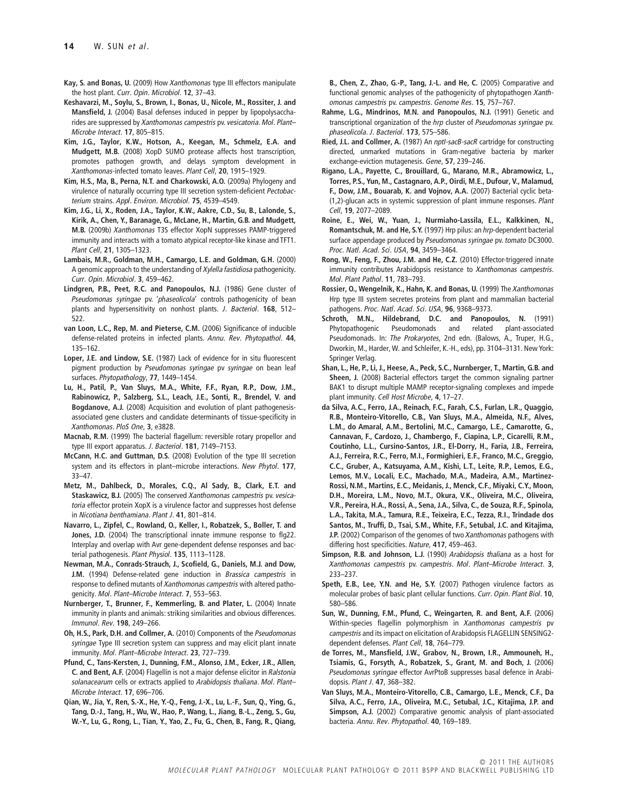- **Kay, S. and Bonas, U.** (2009) How *Xanthomonas* type III effectors manipulate the host plant. *Curr. Opin. Microbiol*. **12**, 37–43.
- **Keshavarzi, M., Soylu, S., Brown, I., Bonas, U., Nicole, M., Rossiter, J. and Mansfield, J.** (2004) Basal defenses induced in pepper by lipopolysaccharides are suppressed by *Xanthomonas campestris* pv. *vesicatoria*. *Mol. Plant– Microbe Interact*. **17**, 805–815.
- **Kim, J.G., Taylor, K.W., Hotson, A., Keegan, M., Schmelz, E.A. and Mudgett, M.B.** (2008) XopD SUMO protease affects host transcription, promotes pathogen growth, and delays symptom development in *Xanthomonas*-infected tomato leaves. *Plant Cell*, **20**, 1915–1929.
- **Kim, H.S., Ma, B., Perna, N.T. and Charkowski, A.O.** (2009a) Phylogeny and virulence of naturally occurring type III secretion system-deficient *Pectobacterium* strains. *Appl. Environ. Microbiol*. **75**, 4539–4549.
- **Kim, J.G., Li, X., Roden, J.A., Taylor, K.W., Aakre, C.D., Su, B., Lalonde, S., Kirik, A., Chen, Y., Baranage, G., McLane, H., Martin, G.B. and Mudgett, M.B.** (2009b) *Xanthomonas* T3S effector XopN suppresses PAMP-triggered immunity and interacts with a tomato atypical receptor-like kinase and TFT1. *Plant Cell*, **21**, 1305–1323.
- **Lambais, M.R., Goldman, M.H., Camargo, L.E. and Goldman, G.H.** (2000) A genomic approach to the understanding of *Xylella fastidiosa* pathogenicity. *Curr. Opin. Microbiol*. **3**, 459–462.
- **Lindgren, P.B., Peet, R.C. and Panopoulos, N.J.** (1986) Gene cluster of *Pseudomonas syringae* pv. '*phaseolicola*' controls pathogenicity of bean plants and hypersensitivity on nonhost plants. *J. Bacteriol*. **168**, 512– 522.
- **van Loon, L.C., Rep, M. and Pieterse, C.M.** (2006) Significance of inducible defense-related proteins in infected plants. *Annu. Rev. Phytopathol*. **44**, 135–162.
- **Loper, J.E. and Lindow, S.E.** (1987) Lack of evidence for in situ fluorescent pigment production by *Pseudomonas syringae* pv *syringae* on bean leaf surfaces. *Phytopathology*, **77**, 1449–1454.
- **Lu, H., Patil, P., Van Sluys, M.A., White, F.F., Ryan, R.P., Dow, J.M., Rabinowicz, P., Salzberg, S.L., Leach, J.E., Sonti, R., Brendel, V. and Bogdanove, A.J.** (2008) Acquisition and evolution of plant pathogenesisassociated gene clusters and candidate determinants of tissue-specificity in *Xanthomonas*. *PloS One*, **3**, e3828.
- **Macnab, R.M.** (1999) The bacterial flagellum: reversible rotary propellor and type III export apparatus. *J. Bacteriol*. **181**, 7149–7153.
- **McCann, H.C. and Guttman, D.S.** (2008) Evolution of the type III secretion system and its effectors in plant–microbe interactions. *New Phytol*. **177**, 33–47.
- **Metz, M., Dahlbeck, D., Morales, C.Q., Al Sady, B., Clark, E.T. and Staskawicz, B.J.** (2005) The conserved *Xanthomonas campestris* pv. *vesicatoria* effector protein XopX is a virulence factor and suppresses host defense in *Nicotiana benthamiana*. *Plant J*. **41**, 801–814.
- **Navarro, L., Zipfel, C., Rowland, O., Keller, I., Robatzek, S., Boller, T. and Jones, J.D.** (2004) The transcriptional innate immune response to flg22. Interplay and overlap with Avr gene-dependent defense responses and bacterial pathogenesis. *Plant Physiol*. **135**, 1113–1128.
- **Newman, M.A., Conrads-Strauch, J., Scofield, G., Daniels, M.J. and Dow, J.M.** (1994) Defense-related gene induction in *Brassica campestris* in response to defined mutants of *Xanthomonas campestris* with altered pathogenicity. *Mol. Plant–Microbe Interact*. **7**, 553–563.
- **Nurnberger, T., Brunner, F., Kemmerling, B. and Plater, L.** (2004) Innate immunity in plants and animals: striking similarities and obvious differences. *Immunol. Rev*. **198**, 249–266.
- **Oh, H.S., Park, D.H. and Collmer, A.** (2010) Components of the *Pseudomonas syringae* Type III secretion system can suppress and may elicit plant innate immunity. *Mol. Plant–Microbe Interact*. **23**, 727–739.
- **Pfund, C., Tans-Kersten, J., Dunning, F.M., Alonso, J.M., Ecker, J.R., Allen, C. and Bent, A.F.** (2004) Flagellin is not a major defense elicitor in *Ralstonia solanacearum* cells or extracts applied to *Arabidopsis thaliana*. *Mol. Plant– Microbe Interact*. **17**, 696–706.
- **Qian, W., Jia, Y., Ren, S.-X., He, Y.-Q., Feng, J.-X., Lu, L.-F., Sun, Q., Ying, G., Tang, D.-J., Tang, H., Wu, W., Hao, P., Wang, L., Jiang, B.-L., Zeng, S., Gu, W.-Y., Lu, G., Rong, L., Tian, Y., Yao, Z., Fu, G., Chen, B., Fang, R., Qiang,**

**B., Chen, Z., Zhao, G.-P., Tang, J.-L. and He, C.** (2005) Comparative and functional genomic analyses of the pathogenicity of phytopathogen *Xanthomonas campestris* pv. *campestris*. *Genome Res*. **15**, 757–767.

- **Rahme, L.G., Mindrinos, M.N. and Panopoulos, N.J.** (1991) Genetic and transcriptional organization of the *hrp* cluster of *Pseudomonas syringae* pv. *phaseolicola*. *J. Bacteriol*. **173**, 575–586.
- **Ried, J.L. and Collmer, A.** (1987) An *nptI-sacB-sacR* cartridge for constructing directed, unmarked mutations in Gram-negative bacteria by marker exchange-eviction mutagenesis. *Gene*, **57**, 239–246.
- **Rigano, L.A., Payette, C., Brouillard, G., Marano, M.R., Abramowicz, L., Torres, P.S., Yun, M., Castagnaro, A.P., Oirdi, M.E., Dufour, V., Malamud, F., Dow, J.M., Bouarab, K. and Vojnov, A.A.** (2007) Bacterial cyclic beta- (1,2)-glucan acts in systemic suppression of plant immune responses. *Plant Cell*, **19**, 2077–2089.
- **Roine, E., Wei, W., Yuan, J., Nurmiaho-Lassila, E.L., Kalkkinen, N., Romantschuk, M. and He, S.Y.** (1997) Hrp pilus: an *hrp*-dependent bacterial surface appendage produced by *Pseudomonas syringae* pv. *tomato* DC3000. *Proc. Natl. Acad. Sci. USA*, **94**, 3459–3464.
- **Rong, W., Feng, F., Zhou, J.M. and He, C.Z.** (2010) Effector-triggered innate immunity contributes Arabidopsis resistance to *Xanthomonas campestris*. *Mol. Plant Pathol*. **11**, 783–793.
- **Rossier, O., Wengelnik, K., Hahn, K. and Bonas, U.** (1999) The *Xanthomonas* Hrp type III system secretes proteins from plant and mammalian bacterial pathogens. *Proc. Natl. Acad. Sci. USA*, **96**, 9368–9373.
- **Schroth, M.N., Hildebrand, D.C. and Panopoulos, N.** (1991) Phytopathogenic Pseudomonads and related plant-associated Pseudomonads. In: *The Prokaryotes*, 2nd edn. (Balows, A., Truper, H.G., Dworkin, M., Harder, W. and Schleifer, K.-H., eds), pp. 3104–3131. New York: Springer Verlag.
- **Shan, L., He, P., Li, J., Heese, A., Peck, S.C., Nurnberger, T., Martin, G.B. and Sheen, J.** (2008) Bacterial effectors target the common signaling partner BAK1 to disrupt multiple MAMP receptor-signaling complexes and impede plant immunity. *Cell Host Microbe*, **4**, 17–27.
- **da Silva, A.C., Ferro, J.A., Reinach, F.C., Farah, C.S., Furlan, L.R., Quaggio, R.B., Monteiro-Vitorello, C.B., Van Sluys, M.A., Almeida, N.F., Alves, L.M., do Amaral, A.M., Bertolini, M.C., Camargo, L.E., Camarotte, G., Cannavan, F., Cardozo, J., Chambergo, F., Ciapina, L.P., Cicarelli, R.M., Coutinho, L.L., Cursino-Santos, J.R., El-Dorry, H., Faria, J.B., Ferreira, A.J., Ferreira, R.C., Ferro, M.I., Formighieri, E.F., Franco, M.C., Greggio, C.C., Gruber, A., Katsuyama, A.M., Kishi, L.T., Leite, R.P., Lemos, E.G., Lemos, M.V., Locali, E.C., Machado, M.A., Madeira, A.M., Martinez-Rossi, N.M., Martins, E.C., Meidanis, J., Menck, C.F., Miyaki, C.Y., Moon, D.H., Moreira, L.M., Novo, M.T., Okura, V.K., Oliveira, M.C., Oliveira, V.R., Pereira, H.A., Rossi, A., Sena, J.A., Silva, C., de Souza, R.F., Spinola, L.A., Takita, M.A., Tamura, R.E., Teixeira, E.C., Tezza, R.I., Trindade dos Santos, M., Truffi, D., Tsai, S.M., White, F.F., Setubal, J.C. and Kitajima, J.P.** (2002) Comparison of the genomes of two *Xanthomonas* pathogens with differing host specificities. *Nature*, **417**, 459–463.
- **Simpson, R.B. and Johnson, L.J.** (1990) *Arabidopsis thaliana* as a host for *Xanthomonas campestris* pv. *campestris*. *Mol. Plant–Microbe Interact*. **3**, 233–237.
- **Speth, E.B., Lee, Y.N. and He, S.Y.** (2007) Pathogen virulence factors as molecular probes of basic plant cellular functions. *Curr. Opin. Plant Biol*. **10**, 580–586.
- **Sun, W., Dunning, F.M., Pfund, C., Weingarten, R. and Bent, A.F.** (2006) Within-species flagellin polymorphism in *Xanthomonas campestris* pv *campestris* and its impact on elicitation of Arabidopsis FLAGELLIN SENSING2 dependent defenses. *Plant Cell*, **18**, 764–779.
- **de Torres, M., Mansfield, J.W., Grabov, N., Brown, I.R., Ammouneh, H., Tsiamis, G., Forsyth, A., Robatzek, S., Grant, M. and Boch, J.** (2006) *Pseudomonas syringae* effector AvrPtoB suppresses basal defence in Arabidopsis. *Plant J*. **47**, 368–382.
- **Van Sluys, M.A., Monteiro-Vitorello, C.B., Camargo, L.E., Menck, C.F., Da Silva, A.C., Ferro, J.A., Oliveira, M.C., Setubal, J.C., Kitajima, J.P. and Simpson, A.J.** (2002) Comparative genomic analysis of plant-associated bacteria. *Annu. Rev. Phytopathol*. **40**, 169–189.